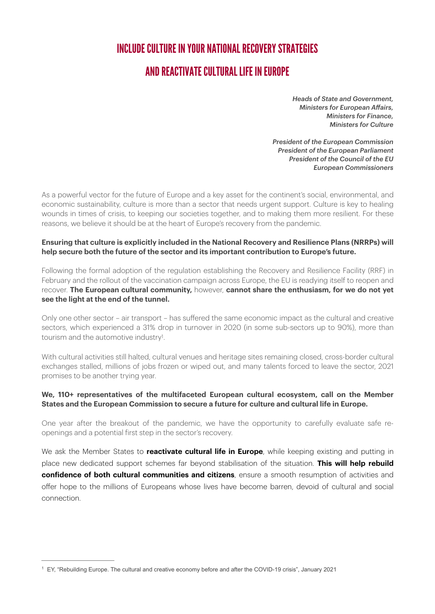# INCLUDE CULTURE IN YOUR NATIONAL RECOVERY STRATEGIES

## AND REACTIVATE CULTURAL LIFE IN EUROPE

*Heads of State and Government, Ministers for European Affairs, Ministers for Finance, Ministers for Culture* 

*President of the European Commission President of the European Parliament President of the Council of the EU European Commissioners* 

As a powerful vector for the future of Europe and a key asset for the continent's social, environmental, and economic sustainability, culture is more than a sector that needs urgent support. Culture is key to healing wounds in times of crisis, to keeping our societies together, and to making them more resilient. For these reasons, we believe it should be at the heart of Europe's recovery from the pandemic.

#### **Ensuring that culture is explicitly included in the National Recovery and Resilience Plans (NRRPs) will help secure both the future of the sector and its important contribution to Europe's future.**

Following the formal adoption of the regulation establishing the Recovery and Resilience Facility (RRF) in February and the rollout of the vaccination campaign across Europe, the EU is readying itself to reopen and recover. **The European cultural community,** however, **cannot share the enthusiasm, for we do not yet see the light at the end of the tunnel.**

Only one other sector – air transport – has suffered the same economic impact as the cultural and creative sectors, which experienced a 31% drop in turnover in 2020 (in some sub-sectors up to 90%), more than tourism and the automotive industry<sup>[1](#page-0-0)</sup>.

<span id="page-0-1"></span>With cultural activities still halted, cultural venues and heritage sites remaining closed, cross-border cultural exchanges stalled, millions of jobs frozen or wiped out, and many talents forced to leave the sector, 2021 promises to be another trying year.

#### **We, 110+ representatives of the multifaceted European cultural ecosystem, call on the Member States and the European Commission to secure a future for culture and cultural life in Europe.**

One year after the breakout of the pandemic, we have the opportunity to carefully evaluate safe reopenings and a potential first step in the sector's recovery.

We ask the Member States to **reactivate cultural life in Europe**, while keeping existing and putting in place new dedicated support schemes far beyond stabilisation of the situation. **This will help rebuild confidence of both cultural communities and citizens**, ensure a smooth resumption of activities and offer hope to the millions of Europeans whose lives have become barren, devoid of cultural and social connection.

<span id="page-0-0"></span>EY, "Rebuilding Europe. The cultural and creative economy before and after the COVID-19 crisis", January 2021 [1](#page-0-1)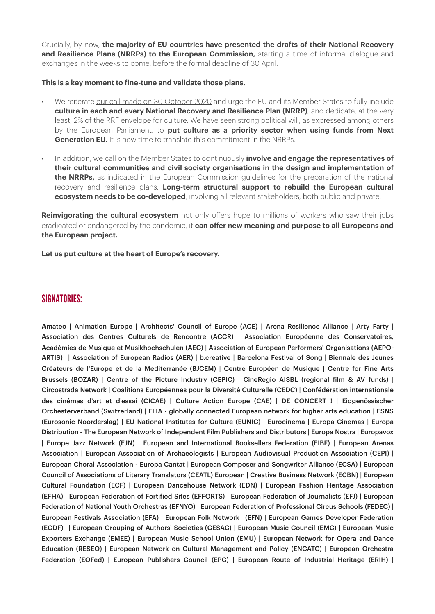Crucially, by now, **the majority of EU countries have presented the drafts of their National Recovery and Resilience Plans (NRRPs) to the European Commission,** starting a time of informal dialogue and exchanges in the weeks to come, before the formal deadline of 30 April.

#### **This is a key moment to fine-tune and validate those plans.**

- We reiterate our call made on 30 October 2020 and urge the EU and its Member States to fully include **culture in each and every National Recovery and Resilience Plan (NRRP)**, and dedicate, at the very least, 2% of the RRF envelope for culture. We have seen strong political will, as expressed among others by the European Parliament, to **put culture as a priority sector when using funds from Next Generation EU.** It is now time to translate this commitment in the NRRPs.
- In addition, we call on the Member States to continuously **involve and engage the representatives of their cultural communities and civil society organisations in the design and implementation of the NRRPs,** as indicated in the European Commission guidelines for the preparation of the national recovery and resilience plans. **Long-term structural support to rebuild the European cultural ecosystem needs to be co-developed**, involving all relevant stakeholders, both public and private.

**Reinvigorating the cultural ecosystem** not only offers hope to millions of workers who saw their jobs eradicated or endangered by the pandemic, it **can offer new meaning and purpose to all Europeans and the European project.** 

**Let us put culture at the heart of Europe's recovery.** 

### SIGNATORIES:

**Am**ateo | Animation Europe | Architects' Council of Europe (ACE) | Arena Resilience Alliance | Arty Farty | Association des Centres Culturels de Rencontre (ACCR) | Association Européenne des Conservatoires, Académies de Musique et Musikhochschulen (AEC) | Association of European Performers' Organisations (AEPO-ARTIS) | Association of European Radios (AER) | b.creative | Barcelona Festival of Song | Biennale des Jeunes Créateurs de l'Europe et de la Mediterranée (BJCEM) | Centre Européen de Musique | Centre for Fine Arts Brussels (BOZAR) | Centre of the Picture Industry (CEPIC) | CineRegio AISBL (regional film & AV funds) | Circostrada Network | Coalitions Européennes pour la Diversité Culturelle (CEDC) | Confédération internationale des cinémas d'art et d'essai (CICAE) | Culture Action Europe (CAE) | DE CONCERT ! | Eidgenössischer Orchesterverband (Switzerland) | ELIA - globally connected European network for higher arts education | ESNS (Eurosonic Noorderslag) | EU National Institutes for Culture (EUNIC) | Eurocinema | Europa Cinemas | Europa Distribution - The European Network of Independent Film Publishers and Distributors | Europa Nostra | Europavox | Europe Jazz Network (EJN) | European and International Booksellers Federation (EIBF) | European Arenas Association | European Association of Archaeologists | European Audiovisual Production Association (CEPI) | European Choral Association - Europa Cantat | European Composer and Songwriter Alliance (ECSA) | European Council of Associations of Literary Translators (CEATL) European | Creative Business Network (ECBN) | European Cultural Foundation (ECF) | European Dancehouse Network (EDN) | European Fashion Heritage Association (EFHA) | European Federation of Fortified Sites (EFFORTS) | European Federation of Journalists (EFJ) | European Federation of National Youth Orchestras (EFNYO) | European Federation of Professional Circus Schools (FEDEC) | European Festivals Association (EFA) | European Folk Network (EFN) | European Games Developer Federation (EGDF) | European Grouping of Authors' Societies (GESAC) | European Music Council (EMC) | European Music Exporters Exchange (EMEE) | European Music School Union (EMU) | European Network for Opera and Dance Education (RESEO) | European Network on Cultural Management and Policy (ENCATC) | European Orchestra Federation (EOFed) | European Publishers Council (EPC) | European Route of Industrial Heritage (ERIH) |